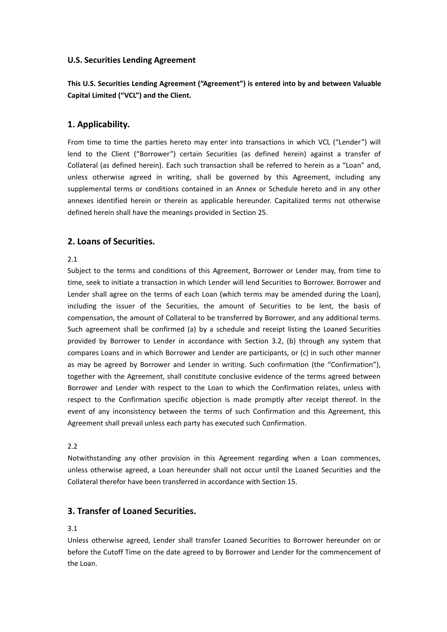# **U.S. Securities Lending Agreement**

**This U.S. Securities Lending Agreement ("Agreement") is entered into byand between Valuable Capital Limited ("VCL") and the Client.**

# **1. Applicability.**

From time to time the parties hereto may enter into transactions in which VCL ("Lender") will lend to the Client ("Borrower") certain Securities (as defined herein) against a transfer of Collateral (as defined herein). Each such transaction shall be referred to herein as a "Loan" and, unless otherwise agreed in writing, shall be governed by this Agreement, including any supplemental terms or conditions contained in an Annex or Schedule hereto and in any other annexes identified herein or therein as applicable hereunder. Capitalized terms not otherwise defined herein shall have the meanings provided in Section 25.

# **2. Loans of Securities.**

## 2.1

Subject to the terms and conditions of this Agreement, Borrower or Lender may, from time to time, seek to initiate a transaction in which Lender will lend Securities to Borrower. Borrower and Lender shall agree on the terms of each Loan (which terms may be amended during the Loan), including the issuer of the Securities, the amount of Securities to be lent, the basis of compensation, the amount of Collateral to be transferred by Borrower, and any additional terms. Such agreement shall be confirmed (a) by a schedule and receipt listing the Loaned Securities provided by Borrower to Lender in accordance with Section 3.2, (b) through any system that compares Loans and in which Borrower and Lender are participants, or (c) in such other manner as may be agreed by Borrower and Lender in writing. Such confirmation (the "Confirmation"), together with the Agreement, shall constitute conclusive evidence of the terms agreed between Borrower and Lender with respect to the Loan to which the Confirmation relates, unless with respect to the Confirmation specific objection is made promptly after receipt thereof. In the event of any inconsistency between the terms of such Confirmation and this Agreement, this Agreement shall prevail unless each party has executed such Confirmation.

## 2.2

Notwithstanding any other provision in this Agreement regarding when a Loan commences, unless otherwise agreed, a Loan hereunder shall not occur until the Loaned Securities and the Collateral therefor have been transferred in accordance with Section 15.

# **3. Transfer of Loaned Securities.**

## 3.1

Unless otherwise agreed, Lender shall transfer Loaned Securities to Borrower hereunder on or before the Cutoff Time on the date agreed to by Borrower and Lender for the commencement of the Loan.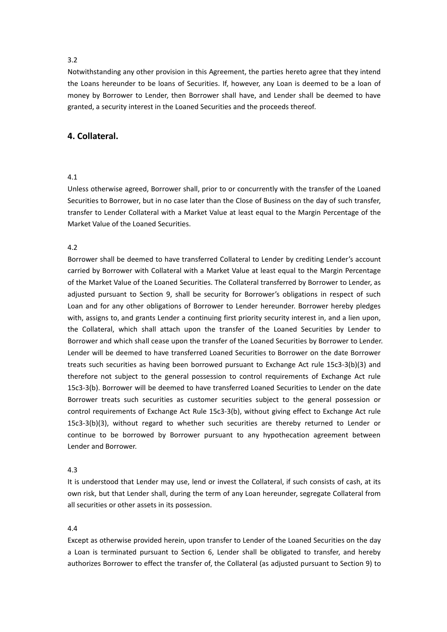Notwithstanding any other provision in this Agreement, the parties hereto agree that they intend the Loans hereunder to be loans of Securities. If, however, any Loan is deemed to be a loan of money by Borrower to Lender, then Borrower shall have, and Lender shall be deemed to have granted, a security interest in the Loaned Securities and the proceeds thereof.

# **4. Collateral.**

### 4.1

Unless otherwise agreed, Borrower shall, prior to or concurrently with the transfer of the Loaned Securities to Borrower, but in no case later than the Close of Business on the day of such transfer, transfer to Lender Collateral with a Market Value at least equal to the Margin Percentage of the Market Value of the Loaned Securities.

## 4.2

Borrower shall be deemed to have transferred Collateral to Lender by crediting Lender's account carried by Borrower with Collateral with a Market Value at least equal to the Margin Percentage of the Market Value of the Loaned Securities. The Collateral transferred by Borrower to Lender, as adjusted pursuant to Section 9, shall be security for Borrower's obligations in respect of such Loan and for any other obligations of Borrower to Lender hereunder. Borrower hereby pledges with, assigns to, and grants Lender a continuing first priority security interest in, and a lien upon, the Collateral, which shall attach upon the transfer of the Loaned Securities by Lender to Borrower and which shall cease upon the transfer of the Loaned Securities by Borrower to Lender. Lender will be deemed to have transferred Loaned Securities to Borrower on the date Borrower treats such securities as having been borrowed pursuant to Exchange Act rule 15c3-3(b)(3) and therefore not subject to the general possession to control requirements of Exchange Act rule 15c3-3(b). Borrower will be deemed to have transferred Loaned Securities to Lender on the date Borrower treats such securities as customer securities subject to the general possession or control requirements of Exchange Act Rule 15c3-3(b), without giving effect to Exchange Act rule  $15c3-3(b)(3)$ , without regard to whether such securities are thereby returned to Lender or continue to be borrowed by Borrower pursuant to any hypothecation agreement between Lender and Borrower.

#### 4.3

It is understood that Lender may use, lend or invest the Collateral, if such consists of cash, at its own risk, but that Lender shall, during the term of any Loan hereunder, segregate Collateral from all securities or other assets in its possession.

## 4.4

Except as otherwise provided herein, upon transfer to Lender ofthe Loaned Securities on the day a Loan is terminated pursuant to Section 6, Lender shall be obligated to transfer, and hereby authorizes Borrower to effect the transfer of, the Collateral (as adjusted pursuant to Section 9) to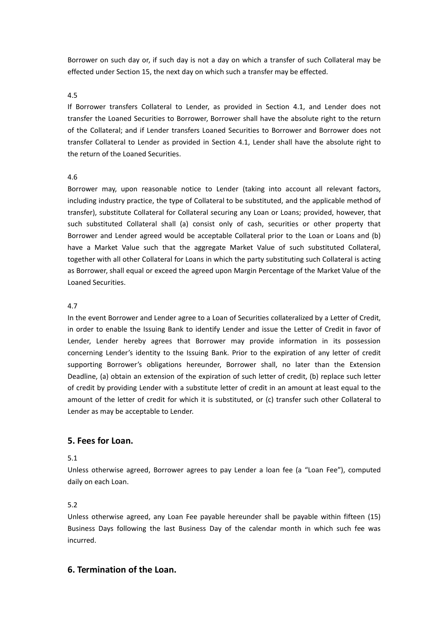Borrower on such day or, if such day is not a day on which a transfer of such Collateral may be effected under Section 15, the next day on which such a transfer may be effected.

## 4.5

If Borrower transfers Collateral to Lender, as provided in Section 4.1, and Lender does not transfer the Loaned Securities to Borrower, Borrower shall have the absolute right to the return of the Collateral; and if Lender transfers Loaned Securities to Borrower and Borrower does not transfer Collateral to Lender as provided in Section 4.1, Lender shall have the absolute right to the return of the Loaned Securities.

## 4.6

Borrower may, upon reasonable notice to Lender (taking into account all relevant factors, including industry practice, the type of Collateral to be substituted, and the applicable method of transfer), substitute Collateral for Collateral securing any Loan or Loans; provided, however, that such substituted Collateral shall (a) consist only of cash, securities or other property that Borrower and Lender agreed would be acceptable Collateral prior to the Loan or Loans and (b) have a Market Value such that the aggregate Market Value of such substituted Collateral, together with all other Collateral for Loans in which the party substituting such Collateral is acting as Borrower, shall equal or exceed the agreed upon Margin Percentage of the Market Value of the Loaned Securities.

## 4.7

In the event Borrower and Lender agree to a Loan of Securities collateralized by a Letter of Credit, in order to enable the Issuing Bank to identify Lender and issue the Letter of Credit in favor of Lender, Lender hereby agrees that Borrower may provide information in its possession concerning Lender's identity to the Issuing Bank. Prior to the expiration of any letter of credit supporting Borrower's obligations hereunder, Borrower shall, no later than the Extension Deadline, (a) obtain an extension of the expiration of such letter of credit, (b) replace such letter of credit by providing Lender with a substitute letter of credit in an amount at least equal to the amount of the letter of credit for which it is substituted, or (c) transfer such other Collateral to Lender as may be acceptable to Lender.

# **5. Fees for Loan.**

## 5.1

Unless otherwise agreed, Borrower agrees to pay Lender a loan fee (a "Loan Fee"), computed daily on each Loan.

## 5.2

Unless otherwise agreed, any Loan Fee payable hereunder shall be payable within fifteen (15) Business Days following the last Business Day of the calendar month in which such fee was incurred.

## **6. Termination of the Loan.**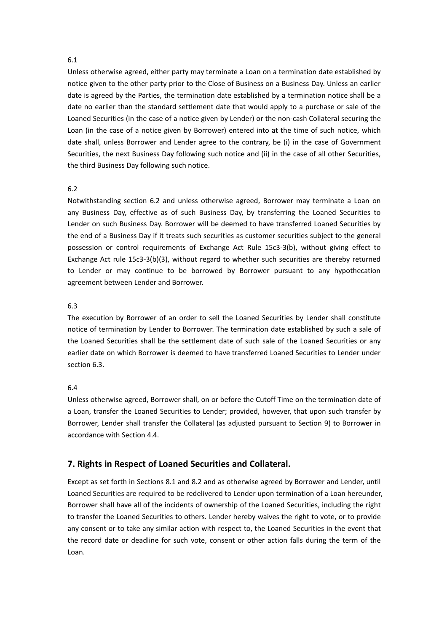Unless otherwise agreed, either party may terminate a Loan on a termination date established by notice given to the other party prior to the Close of Business on a Business Day. Unless an earlier date is agreed by the Parties, the termination date established by a termination notice shall be a date no earlier than the standard settlement date that would apply to a purchase or sale of the Loaned Securities (in the case of a notice given by Lender) or the non-cash Collateral securing the Loan (in the case of a notice given by Borrower) entered into at the time of such notice, which date shall, unless Borrower and Lender agree to the contrary, be (i) in the case of Government Securities, the next Business Day following such notice and (ii) in the case of all other Securities, the third Business Day following such notice.

#### 6.2

Notwithstanding section 6.2 and unless otherwise agreed, Borrower may terminate a Loan on any Business Day, effective as of such Business Day, by transferring the Loaned Securities to Lender on such Business Day. Borrower will be deemed to have transferred Loaned Securities by the end of a Business Day if it treats such securities as customer securities subject to the general possession or control requirements of Exchange Act Rule 15c3-3(b), without giving effect to Exchange Act rule 15c3-3(b)(3), without regard to whether such securities are thereby returned to Lender or may continue to be borrowed by Borrower pursuant to any hypothecation agreement between Lender and Borrower.

## 6.3

The execution by Borrower of an order to sell the Loaned Securities by Lender shall constitute notice of termination by Lender to Borrower. The termination date established by such asale of the Loaned Securities shall be the settlement date of such sale of the Loaned Securities or any earlier date on which Borrower is deemed to have transferred Loaned Securities to Lender under section 6.3.

## 6.4

Unless otherwise agreed, Borrower shall, on or before the Cutoff Time on the termination date of a Loan, transfer the Loaned Securities to Lender; provided, however, that upon such transfer by Borrower, Lender shall transfer the Collateral (as adjusted pursuant to Section 9) to Borrower in accordance with Section 4.4.

# **7. Rights in Respect of Loaned Securities and Collateral.**

Except as set forth in Sections 8.1 and 8.2 and as otherwise agreed by Borrower and Lender, until Loaned Securities are required to be redelivered to Lender upon termination of a Loan hereunder, Borrower shall have all of the incidents of ownership of the Loaned Securities, including the right to transferthe Loaned Securities to others. Lender hereby waives the right to vote, orto provide any consent or to take any similar action with respect to, the Loaned Securities in the event that the record date or deadline for such vote, consent or other action falls during the term of the Loan.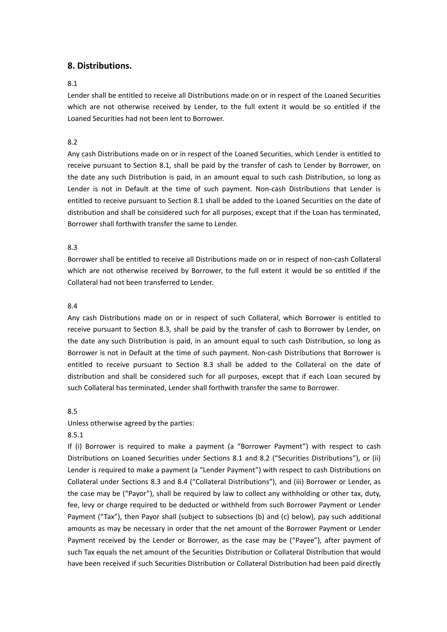# **8. Distributions.**

## 8.1

Lender shall be entitled to receive all Distributions made on or in respect of the Loaned Securities which are not otherwise received by Lender, to the full extent it would be so entitled if the Loaned Securities had not been lent to Borrower.

# 8.2

Any cash Distributions made on or in respect of the Loaned Securities, which Lender is entitled to receive pursuant to Section 8.1, shall be paid by the transfer of cash to Lender by Borrower, on the date any such Distribution is paid, in an amount equal to such cash Distribution, so long as Lender is not in Default at the time of such payment. Non-cash Distributions that Lender is entitled to receive pursuant to Section 8.1 shall be added to the Loaned Securities on the date of distribution and shall be considered such for all purposes, except that if the Loan has terminated, Borrower shall forthwith transfer the same to Lender.

# 8.3

Borrower shall be entitled to receive all Distributions made on or in respect of non-cash Collateral which are not otherwise received by Borrower, to the full extent it would be so entitled if the Collateral had not been transferred to Lender.

# 8.4

Any cash Distributions made on or in respect of such Collateral, which Borrower is entitled to receive pursuant to Section 8.3, shall be paid by the transfer of cash to Borrower by Lender, on the date any such Distribution is paid, in an amount equal to such cash Distribution, so long as Borrower is not in Default at the time of such payment. Non-cash Distributions that Borrower is entitled to receive pursuant to Section 8.3 shall be added to the Collateral on the date of distribution and shall be considered such for all purposes, except that if each Loan secured by such Collateral has terminated, Lender shall forthwith transfer the same to Borrower.

# 8.5

# Unless otherwise agreed by the parties:

# 8.5.1

If (i) Borrower is required to make a payment (a "Borrower Payment") with respect to cash Distributions on Loaned Securities under Sections 8.1 and 8.2 ("Securities Distributions"), or (ii) Lender is required to make a payment (a "Lender Payment") with respect to cash Distributions on Collateral under Sections 8.3 and 8.4 ("Collateral Distributions"), and (iii) Borrower or Lender, as the case may be ("Payor"), shall be required by law to collect any withholding or other tax, duty, fee, levy or charge required to be deducted or withheld from such Borrower Payment or Lender Payment ("Tax"), then Payor shall (subject to subsections (b) and (c) below), pay such additional amounts as may be necessary in order that the net amount of the Borrower Payment or Lender Payment received by the Lender or Borrower, as the case may be ("Payee"), after payment of such Tax equals the net amount of the Securities Distribution or Collateral Distribution that would have been received if such Securities Distribution or Collateral Distribution had been paid directly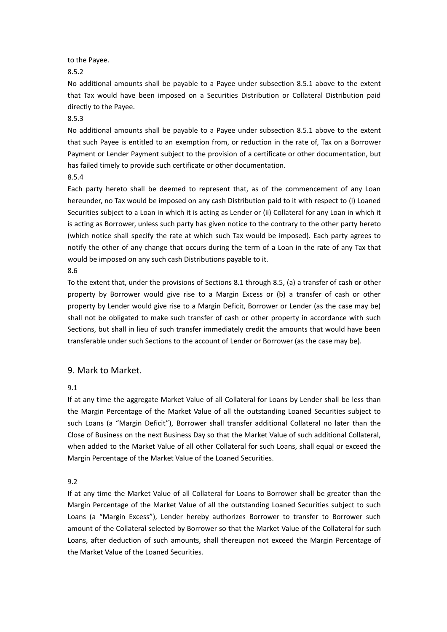to the Payee.

8.5.2

No additional amounts shall be payable to a Payee under subsection 8.5.1 above to the extent that Tax would have been imposed on a Securities Distribution or Collateral Distribution paid directly to the Payee.

## 8.5.3

No additional amounts shall be payable to a Payee under subsection 8.5.1 above to the extent that such Payee is entitled to an exemption from, or reduction in the rate of, Tax on a Borrower Payment or Lender Payment subject to the provision of a certificate or other documentation, but has failed timely to provide such certificate or other documentation.

## 8.5.4

Each party hereto shall be deemed to represent that, as of the commencement of any Loan hereunder, no Tax would be imposed on any cash Distribution paid to it with respect to (i) Loaned Securities subject to a Loan in which it is acting as Lender or (ii) Collateral for any Loan in which it is acting as Borrower, unless such party has given notice to the contrary to the other party hereto (which notice shall specify the rate atwhich such Tax would be imposed). Each party agrees to notify the other of any change that occurs during the term of a Loan in the rate of any Tax that would be imposed on any such cash Distributions payable to it.

#### 8.6

To the extent that, under the provisions of Sections 8.1 through 8.5, (a) a transfer of cash or other property by Borrower would give rise to aMargin Excess or (b) a transfer of cash or other property by Lender would give rise to a Margin Deficit, Borrower or Lender (as the case may be) shall not be obligated to make such transfer of cash or other property in accordance with such Sections, but shall in lieu of such transfer immediately credit the amounts that would have been transferable under such Sections to the account of Lender or Borrower (as the case may be).

# 9. Mark to Market.

## 9.1

If at any time the aggregate Market Value of all Collateral for Loans by Lender shall be less than the Margin Percentage of the Market Value of all the outstanding Loaned Securities subject to such Loans (a "Margin Deficit"), Borrower shall transfer additional Collateral no later than the Close of Business on the next Business Day so that the Market Value of such additional Collateral, when added to the Market Value of all other Collateral for such Loans, shall equal or exceed the Margin Percentage of the Market Value of the Loaned Securities.

## 9.2

If at any time the Market Value of all Collateral for Loans to Borrower shall be greater than the Margin Percentage of the Market Value of all the outstanding Loaned Securities subject to such Loans (a "Margin Excess"), Lender hereby authorizes Borrower to transfer to Borrower such amount of the Collateral selected by Borrower so that the Market Value of the Collateral for such Loans, after deduction of such amounts, shall thereupon not exceed the Margin Percentage of the Market Value of the Loaned Securities.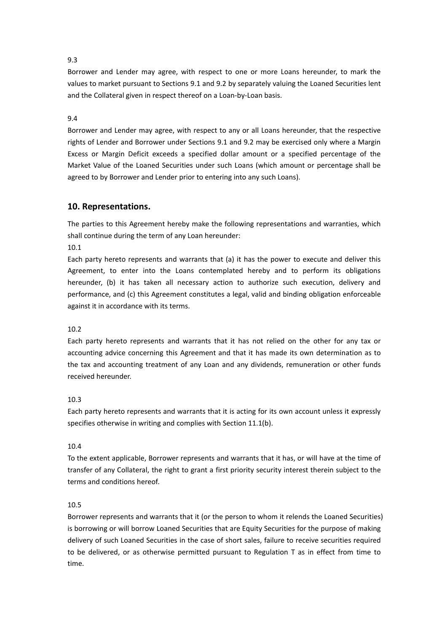Borrower and Lender may agree, with respect to one or more Loans hereunder, to mark the values to market pursuant to Sections 9.1 and 9.2 by separately valuing the Loaned Securities lent and the Collateral given in respect thereof on a Loan-by-Loan basis.

# 9.4

Borrower and Lender may agree, with respect to any or all Loans hereunder, that the respective rights of Lender and Borrower under Sections 9.1 and 9.2 may be exercised only where a Margin Excess or Margin Deficit exceeds a specified dollar amount or a specified percentage of the Market Value of the Loaned Securities under such Loans (which amount or percentage shall be agreed to by Borrower and Lender prior to entering into any such Loans).

# **10. Representations.**

The parties to this Agreement hereby make the following representations and warranties, which shall continue during the term of any Loan hereunder:

10.1

Each party hereto represents and warrants that (a) it has the power to execute and deliver this Agreement, to enter into the Loans contemplated hereby and to perform its obligations hereunder, (b) it has taken all necessary action to authorize such execution, delivery and performance, and (c) this Agreement constitutes a legal, valid and binding obligation enforceable against it in accordance with its terms.

# 10.2

Each party hereto represents and warrants that it has not relied on the other for any tax or accounting advice concerning this Agreement and that it has made its own determination as to the tax and accounting treatment of any Loan and any dividends, remuneration or other funds received hereunder.

# 10.3

Each party hereto represents and warrants that it is acting for its own account unless it expressly specifies otherwise in writing and complies with Section 11.1(b).

# 10.4

To the extent applicable, Borrower represents and warrants that it has, or will have at the time of transfer of any Collateral, the right to grant a first priority security interest therein subject to the terms and conditions hereof.

## 10.5

Borrower represents and warrants that it (or the person to whom it relends the Loaned Securities) is borrowing or will borrow Loaned Securities that are Equity Securities for the purpose of making delivery of such Loaned Securities in the case of short sales, failure to receive securities required to be delivered, or as otherwise permitted pursuant to Regulation T as in effect from time to time.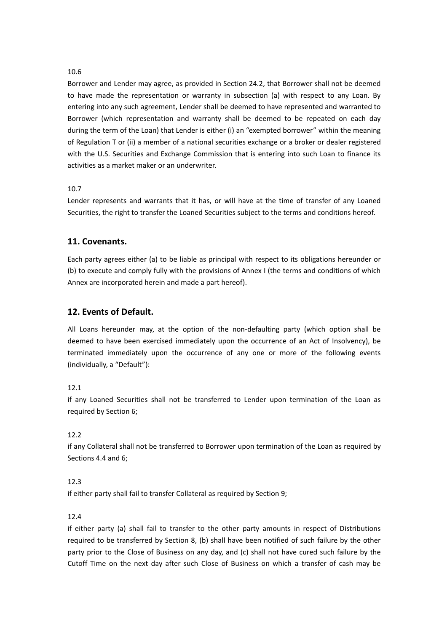Borrower and Lender may agree, as provided in Section 24.2, that Borrower shall not be deemed to have made the representation or warranty in subsection (a) with respect to any Loan. By entering into any such agreement, Lender shall be deemed to have represented and warranted to Borrower (which representation and warranty shall be deemed to be repeated on each day during the term of the Loan) that Lender is either (i) an "exempted borrower" within the meaning of Regulation Tor (ii) a member of a national securities exchange or a broker or dealer registered with the U.S. Securities and Exchange Commission that is entering into such Loan to finance its activities as a market maker or an underwriter.

# 10.7

Lender represents and warrants that it has, or will have at the time of transfer of any Loaned Securities, the right to transfer the Loaned Securities subject to the terms and conditions hereof.

# **11. Covenants.**

Each party agrees either (a) to be liable as principal with respect to its obligations hereunder or (b) to execute and comply fully with the provisions of Annex I (the terms and conditions of which Annex are incorporated herein and made a part hereof).

# **12. Events of Default.**

All Loans hereunder may, at the option of the non-defaulting party (which option shall be deemed to have been exercised immediately upon the occurrence of an Act of Insolvency), be terminated immediately upon the occurrence of any one or more of the following events (individually, a "Default"):

# 12.1

if any Loaned Securities shall not be transferred to Lender upon termination of the Loan as required by Section 6;

# 12.2

if any Collateral shall not be transferred to Borrower upon termination of the Loan as required by Sections 4.4 and 6;

# 12.3

if either party shall fail to transfer Collateral as required by Section 9;

# 12.4

if either party (a) shall fail to transfer to the other party amounts in respect of Distributions required to be transferred by Section 8, (b) shall have been notified of such failure by the other party prior to the Close of Business on any day, and (c) shall not have cured such failure by the Cutoff Time on the next day after such Close of Business on which atransfer of cash may be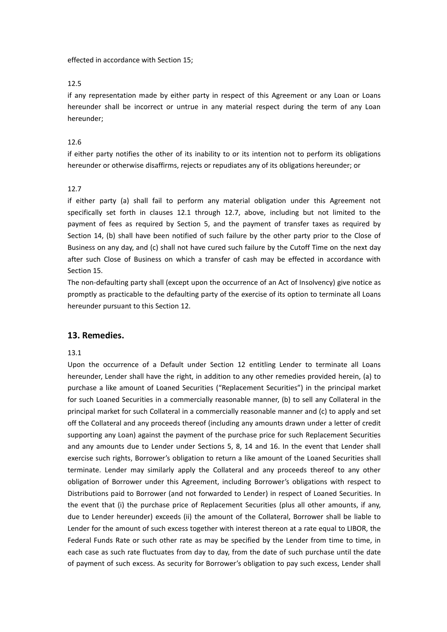effected in accordance with Section 15;

#### 12.5

if any representation made by either party in respect of this Agreement or any Loan or Loans hereunder shall be incorrect or untrue in any material respect during the term of any Loan hereunder;

## 12.6

if either party notifies the other of its inability to or its intention not to perform its obligations hereunder or otherwise disaffirms, rejects or repudiates any of its obligations hereunder; or

## 12.7

if either party (a) shall fail to perform any material obligation under this Agreement not specifically set forth in clauses 12.1 through 12.7, above, including but not limited to the payment of fees as required by Section 5, and the payment of transfer taxes as required by Section 14, (b) shall have been notified of such failure by the other party prior to the Close of Business on any day, and (c) shall not have cured such failure by the Cutoff Time on the next day after such Close of Business on which a transfer of cash may be effected in accordance with Section 15.

The non-defaulting party shall (except upon the occurrence of an Act of Insolvency) give notice as promptly as practicable to the defaulting party of the exercise of its option to terminate all Loans hereunder pursuant to this Section 12.

## **13. Remedies.**

#### 13.1

Upon the occurrence of a Default under Section 12 entitling Lender to terminate all Loans hereunder, Lender shall have the right, in addition to any other remedies provided herein, (a) to purchase a like amount of Loaned Securities ("Replacement Securities") in the principal market for such Loaned Securities in a commercially reasonable manner, (b) to sell any Collateral in the principal market for such Collateral in a commercially reasonable manner and (c) to apply and set off the Collateral and any proceeds thereof (including any amounts drawn under a letter of credit supporting any Loan) against the payment of the purchase price for such Replacement Securities and any amounts due to Lender under Sections 5, 8, 14 and 16. In the event that Lender shall exercise such rights, Borrower's obligation to return a like amount of the Loaned Securities shall terminate. Lender may similarly apply the Collateral and any proceeds thereof to any other obligation of Borrower under this Agreement, including Borrower's obligations with respect to Distributions paid to Borrower (and not forwarded to Lender) in respect of Loaned Securities. In the event that (i) the purchase price of Replacement Securities (plus all other amounts, if any, due to Lender hereunder) exceeds (ii) the amount of the Collateral, Borrower shall be liable to Lender for the amount of such excess together with interest thereon at a rate equal to LIBOR, the Federal Funds Rate or such other rate as may be specified by the Lender from time to time, in each case as such rate fluctuates from day to day, from the date of such purchase until the date of payment of such excess. As security for Borrower's obligation to pay such excess, Lender shall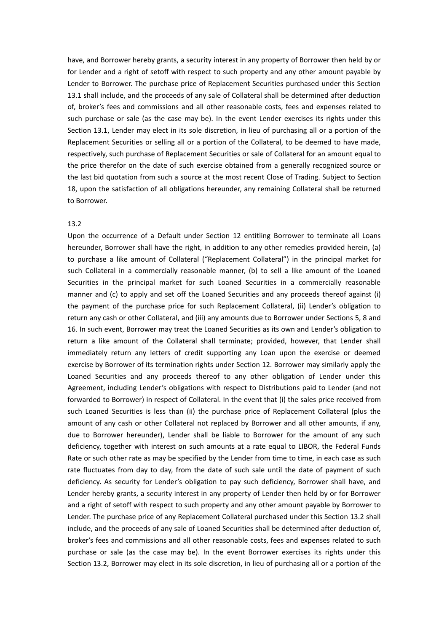have, and Borrower hereby grants, a security interest in any property of Borrower then held by or for Lender and a right of setoff with respect to such property and any other amount payable by Lender to Borrower. The purchase price of Replacement Securities purchased under this Section 13.1 shall include, and the proceeds of any sale of Collateral shall be determined after deduction of, broker's fees and commissions and all other reasonable costs, fees and expenses related to such purchase or sale (as the case may be). In the event Lender exercises its rights under this Section 13.1, Lender may elect in its sole discretion, in lieu of purchasing all or a portion of the Replacement Securities or selling all or a portion of the Collateral, to be deemed to have made, respectively, such purchase of Replacement Securities or sale of Collateral for an amount equal to the price therefor on the date of such exercise obtained from a generally recognized source or the last bid quotation from such a source at the most recent Close of Trading. Subject to Section 18, upon the satisfaction of all obligations hereunder, any remaining Collateral shall be returned to Borrower.

## 13.2

Upon the occurrence of a Default under Section 12 entitling Borrower to terminate all Loans hereunder, Borrower shall have the right, in addition to any other remedies provided herein, (a) to purchase a like amount of Collateral ("Replacement Collateral") in the principal market for such Collateral in acommercially reasonable manner, (b) to sell a like amount of the Loaned Securities in the principal market for such Loaned Securities in a commercially reasonable manner and (c) to apply and set off the Loaned Securities and any proceeds thereof against (i) the payment of the purchase price for such Replacement Collateral, (ii) Lender's obligation to return any cash or other Collateral, and (iii) any amounts due to Borrower under Sections 5, 8 and 16. In such event, Borrower may treat the Loaned Securities as its own and Lender's obligation to return a like amount of the Collateral shall terminate; provided, however, that Lender shall immediately return any letters of credit supporting any Loan upon the exercise or deemed exercise by Borrower of its termination rights under Section 12. Borrower may similarly apply the Loaned Securities and any proceeds thereof to any other obligation of Lender under this Agreement, including Lender's obligations with respect to Distributions paid to Lender (and not forwarded to Borrower) in respect of Collateral. In the event that (i) the sales price received from such Loaned Securities is less than (ii) the purchase price of Replacement Collateral (plus the amount of any cash or other Collateral not replaced by Borrower and all other amounts, if any, due to Borrower hereunder), Lender shall be liable to Borrower for the amount of any such deficiency, together with interest on such amounts at a rate equal to LIBOR, the Federal Funds Rate or such other rate as may be specified by the Lender from time to time, in each case as such rate fluctuates from day to day, from the date of such sale until the date of payment of such deficiency. As security for Lender's obligation to pay such deficiency, Borrower shall have, and Lender hereby grants, a security interest in any property of Lender then held by or for Borrower and a right of setoff with respect to such property and any other amount payable by Borrower to Lender. The purchase price of any Replacement Collateral purchased under this Section 13.2 shall include, and the proceeds of any sale of Loaned Securities shall be determined after deduction of, broker's fees and commissions and allother reasonable costs, fees and expenses related to such purchase or sale (as the case may be). In the event Borrower exercises its rights under this Section 13.2, Borrower may elect in its sole discretion, in lieu of purchasing all or a portion of the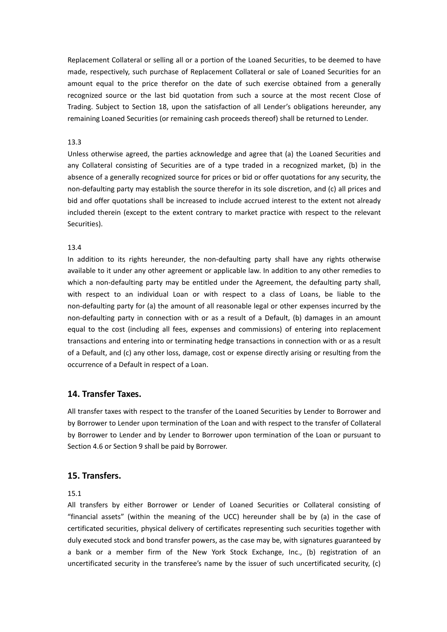Replacement Collateral or selling all or a portion of the Loaned Securities, to be deemed to have made, respectively, such purchase of Replacement Collateral or sale of Loaned Securities for an amount equal to the price therefor on the date of such exercise obtained from a generally recognized source or the last bid quotation from such a source at the most recent Close of Trading. Subject to Section 18, upon the satisfaction of all Lender's obligations hereunder, any remaining Loaned Securities (or remaining cash proceeds thereof) shall be returned to Lender.

## 13.3

Unless otherwise agreed, the parties acknowledge and agree that (a) the Loaned Securities and any Collateral consisting of Securities are of a type traded in a recognized market, (b) in the absence of a generally recognized source for prices or bid or offer quotations for any security, the non-defaulting party may establish the source therefor in its sole discretion, and (c) all prices and bid and offer quotations shall be increased to include accrued interest to the extent not already included therein (except to the extent contrary to market practice with respect to the relevant Securities).

## 13.4

In addition to its rights hereunder, the non-defaulting party shall have any rights otherwise available to it under any other agreement or applicable law. In addition to any other remedies to which a non-defaulting party may be entitled under the Agreement, the defaulting party shall, with respect to an individual Loan or with respect to a class of Loans, be liable to the non-defaulting party for (a) the amount of all reasonable legal or other expenses incurred by the non-defaulting party in connection with or as a result of a Default, (b) damages in an amount equal to the cost (including all fees, expenses and commissions) of entering into replacement transactions and entering into or terminating hedge transactions in connection with or as a result of a Default, and (c) any other loss, damage, cost or expense directly arising or resulting from the occurrence of a Default in respect of a Loan.

# **14. Transfer Taxes.**

All transfer taxes with respect to the transfer of the Loaned Securities by Lender to Borrower and by Borrower to Lender upon termination of the Loan and with respect to the transfer of Collateral by Borrower to Lender and by Lender to Borrower upon termination of the Loan or pursuant to Section 4.6 or Section 9 shall be paid by Borrower.

# **15. Transfers.**

15.1

All transfers by either Borrower or Lender of Loaned Securities or Collateral consisting of "financial assets" (within the meaning of the UCC) hereunder shall be by (a) in the case of certificated securities, physical delivery of certificates representing such securities together with duly executed stock and bond transfer powers, as the case may be, with signatures guaranteed by a bank or a member firm of the New York Stock Exchange, Inc., (b) registration of an uncertificated security in the transferee's name by the issuer of such uncertificated security, (c)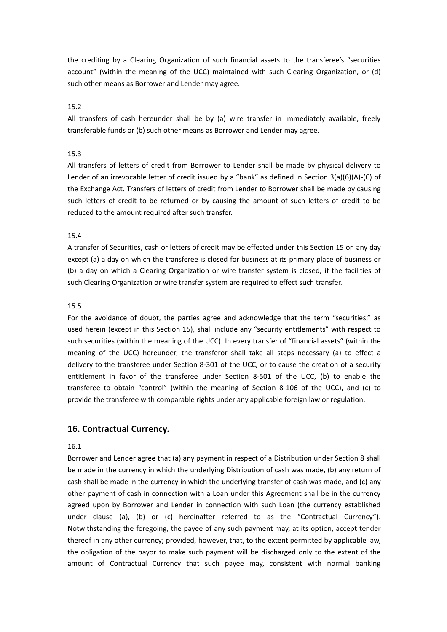the crediting by a Clearing Organization of such financial assets to the transferee's "securities account" (within the meaning of the UCC) maintained with such Clearing Organization, or (d) such other means as Borrower and Lender may agree.

15.2

All transfers of cash hereunder shall be by (a) wire transfer in immediately available, freely transferable funds or (b) such other means as Borrower and Lender may agree.

## 15.3

All transfers of letters of credit from Borrower to Lender shall be made by physical delivery to Lender of an irrevocable letter of credit issued by a "bank" as defined in Section 3(a)(6)(A)-(C) of the Exchange Act. Transfers of letters of credit from Lender to Borrower shall be made by causing such letters of credit to be returned or by causing the amount of such letters of credit to be reduced to the amount required after such transfer.

#### 15.4

A transfer of Securities, cash or letters of credit may be effected under this Section 15 on any day except (a) a day on which the transferee is closed for business at its primary place of business or (b) a day on which a Clearing Organization or wire transfer system is closed, if the facilities of such Clearing Organization or wire transfer system are required to effect such transfer.

#### 15.5

For the avoidance of doubt, the parties agree and acknowledge that the term "securities," as used herein (except in this Section 15), shall include any "security entitlements" with respect to such securities (within the meaning of the UCC). In every transfer of "financial assets" (within the meaning of the UCC) hereunder, the transferor shall take all steps necessary (a) to effect a delivery to the transferee under Section 8-301 of the UCC, or to cause the creation of a security entitlement in favor of the transferee under Section 8-501 of the UCC, (b) to enable the transferee to obtain "control" (within the meaning of Section 8-106 of the UCC), and (c) to provide the transferee with comparable rights under any applicable foreign law or regulation.

## **16. Contractual Currency.**

# 16.1

Borrower and Lender agree that (a) any payment in respect of a Distribution under Section 8 shall be made in the currency in which the underlying Distribution of cash was made, (b) any return of cash shall be made in the currency in which the underlying transfer of cash was made, and (c) any other payment of cash in connection with a Loan under this Agreement shall be in the currency agreed upon by Borrower and Lender in connection with such Loan (the currency established under clause (a), (b) or (c) hereinafter referred to as the "Contractual Currency"). Notwithstanding the foregoing, the payee of any such payment may, at its option, accept tender thereof in any other currency; provided, however, that, to the extent permitted by applicable law, the obligation of the payor to make such payment will be discharged only to the extent of the amount of Contractual Currency that such payee may, consistent with normal banking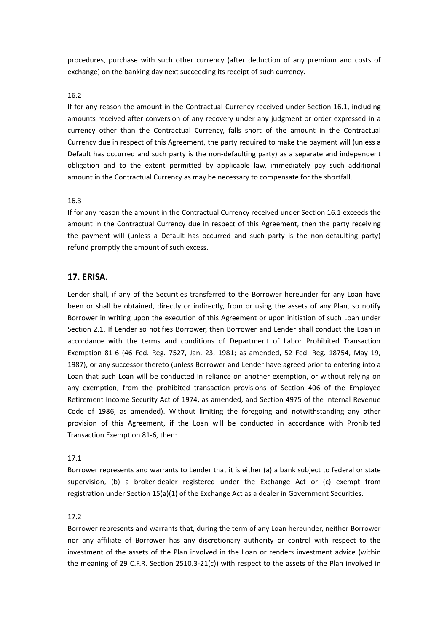procedures, purchase with such other currency (after deduction of any premium and costs of exchange) on the banking day next succeeding its receipt of such currency.

## 16.2

If for any reason the amount in the Contractual Currency received under Section 16.1, including amounts received after conversion of any recovery under any judgment or order expressed in a currency other than the Contractual Currency, falls short of the amount in the Contractual Currency due in respect of this Agreement, the party required to make the payment will (unless a Default has occurred and such party is the non-defaulting party) as a separate and independent obligation and to the extent permitted by applicable law, immediately pay such additional amount in the Contractual Currency as may be necessary to compensate for the shortfall.

## 16.3

If for any reason the amount in the Contractual Currency received under Section 16.1 exceeds the amount in the Contractual Currency due in respect of this Agreement, then the party receiving the payment will (unless a Default has occurred and such party is the non-defaulting party) refund promptly the amount of such excess.

# **17. ERISA.**

Lender shall, if any of the Securities transferred to the Borrower hereunder for any Loan have been or shall be obtained, directly or indirectly, from or using the assets of any Plan, so notify Borrower in writing upon the execution of this Agreement or upon initiation of such Loan under Section 2.1. If Lender so notifies Borrower, then Borrower and Lender shall conduct the Loan in accordance with the terms and conditions of Department of Labor Prohibited Transaction Exemption 81-6 (46 Fed. Reg. 7527, Jan. 23, 1981; as amended, 52 Fed. Reg. 18754, May 19, 1987), or any successor thereto (unless Borrower and Lender have agreed prior to entering into a Loan that such Loan will be conducted in reliance on another exemption, or without relying on any exemption, from the prohibited transaction provisions of Section 406 of the Employee Retirement Income Security Act of 1974, as amended, and Section 4975 of the Internal Revenue Code of 1986, as amended). Without limiting the foregoing and notwithstanding any other provision of this Agreement, if the Loan will be conducted in accordance with Prohibited Transaction Exemption 81-6, then:

## 17.1

Borrower represents and warrants to Lender that it is either (a) a bank subject to federal or state supervision, (b) a broker-dealer registered under the Exchange Act or (c) exempt from registration under Section 15(a)(1) of the Exchange Act as a dealer in Government Securities.

#### 17.2

Borrower represents and warrants that, during the term of any Loan hereunder, neither Borrower nor any affiliate of Borrower has any discretionary authority or control with respect to the investment of the assets of the Plan involved in the Loan or renders investment advice (within the meaning of 29 C.F.R. Section 2510.3-21(c)) with respect to the assets of the Plan involved in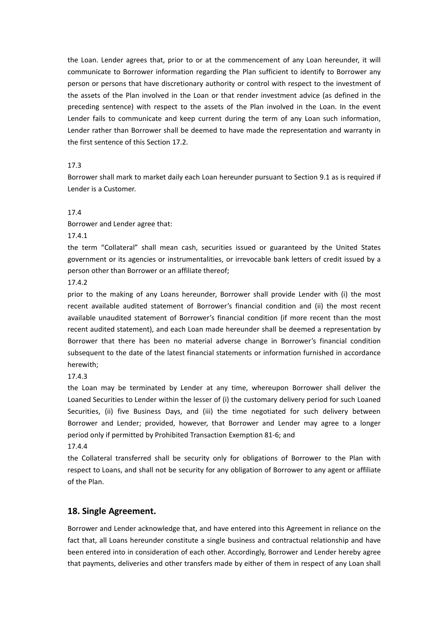the Loan. Lender agrees that, prior to or at the commencement of any Loan hereunder, it will communicate to Borrower information regarding the Plan sufficient to identify to Borrower any person or persons that have discretionary authority or control with respect to the investment of the assets of the Plan involved in the Loan or that render investment advice (as defined in the preceding sentence) with respect to the assets of the Plan involved in the Loan. In the event Lender fails to communicate and keep current during the term of any Loan such information, Lender rather than Borrower shall be deemed to have made the representation and warranty in the first sentence of this Section 17.2.

## 17.3

Borrower shall mark to market daily each Loan hereunder pursuant to Section 9.1 as is required if Lender is a Customer.<br>17.4

Borrower and Lender agree that:

17.4.1

the term "Collateral" shall mean cash, securities issued or guaranteed by the United States government or its agencies or instrumentalities, or irrevocable bank letters of credit issued by a person other than Borrower or an affiliate thereof;

17.4.2

prior to the making of any Loans hereunder, Borrower shall provide Lender with (i) the most recent available audited statement of Borrower's financial condition and (ii) the most recent available unaudited statement of Borrower's financial condition (if more recent than the most recent audited statement), and each Loan made hereunder shall be deemed a representation by Borrower that there has been no material adverse change in Borrower's financial condition subsequent to the date of the latest financial statements or information furnished in accordance herewith;

17.4.3

the Loan may be terminated by Lender at any time, whereupon Borrower shall deliver the Loaned Securities to Lender within the lesser of (i) the customary delivery period for such Loaned Securities, (ii) five Business Days, and (iii) the time negotiated for such delivery between Borrower and Lender; provided, however, that Borrower and Lender may agree to alonger period only if permitted by Prohibited Transaction Exemption 81-6; and

17.4.4

the Collateral transferred shall be security only for obligations of Borrower to the Plan with respect to Loans, and shall not be security for any obligation of Borrower to any agent or affiliate of the Plan.

# **18. Single Agreement.**

Borrower and Lender acknowledge that, and have entered into this Agreement in reliance on the fact that, all Loans hereunder constitute a single business and contractual relationship and have been entered into in consideration of each other. Accordingly, Borrower and Lender hereby agree that payments, deliveries and other transfers made by either of them in respect of any Loan shall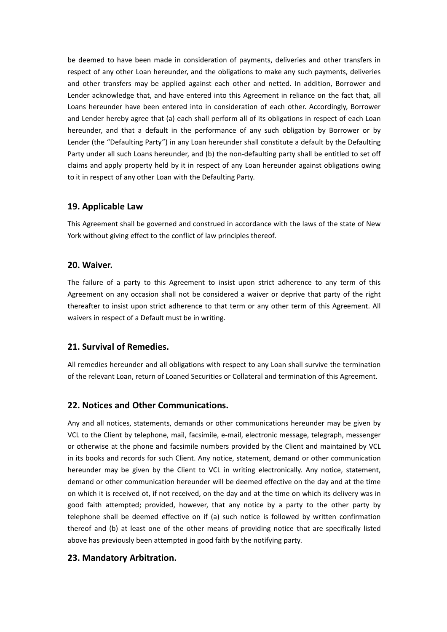be deemed to have been made in consideration of payments, deliveries and other transfers in respect of any other Loan hereunder, and the obligations to make any such payments, deliveries and other transfers may be applied against each other and netted. In addition, Borrower and Lender acknowledge that, and have entered into this Agreement in reliance on the fact that, all Loans hereunder have been entered into in consideration of each other. Accordingly, Borrower and Lender hereby agree that (a) each shall perform all of its obligations in respect of each Loan hereunder, and that a default in the performance of any such obligation by Borrower or by Lender (the "Defaulting Party") in any Loan hereunder shall constitute a default by the Defaulting Party under all such Loans hereunder, and (b) the non-defaulting party shall be entitled to set off claims and apply property held by it in respect of any Loan hereunder against obligations owing to it in respect of any other Loan with the Defaulting Party.

# **19. Applicable Law**

This Agreement shall be governed and construed in accordance with the laws of the state of New York without giving effect to the conflict of law principles thereof.

# **20. Waiver.**

The failure of a party to this Agreement to insist upon strict adherence to any term of this Agreement on any occasion shall not be considered a waiver or deprive that party of the right thereafter to insist upon strict adherence to that term or any other term of this Agreement. All waivers in respect of a Default must be in writing.

# **21. Survival of Remedies.**

All remedies hereunder and all obligations with respect to any Loan shall survive the termination of the relevant Loan, return of Loaned Securities or Collateral and termination of this Agreement.

# **22. Notices and Other Communications.**

Any and all notices, statements, demands or other communications hereunder may be given by VCL to the Client by telephone, mail, facsimile, e-mail, electronic message, telegraph, messenger or otherwise at the phone and facsimile numbers provided by the Client and maintained by VCL in its books and records for such Client. Any notice, statement, demand or other communication hereunder may be given by the Client to VCL in writing electronically. Any notice, statement, demand or other communication hereunder will be deemed effective on the day and at the time on which it is received ot, if not received, on the day and at the time on which its delivery was in good faith attempted; provided, however, that any notice by a party to the other party by telephone shall be deemed effective on if (a) such notice is followed bywritten confirmation thereof and (b) at least one of the other means of providing notice that are specifically listed above has previously been attempted in good faith by the notifying party.

# **23. Mandatory Arbitration.**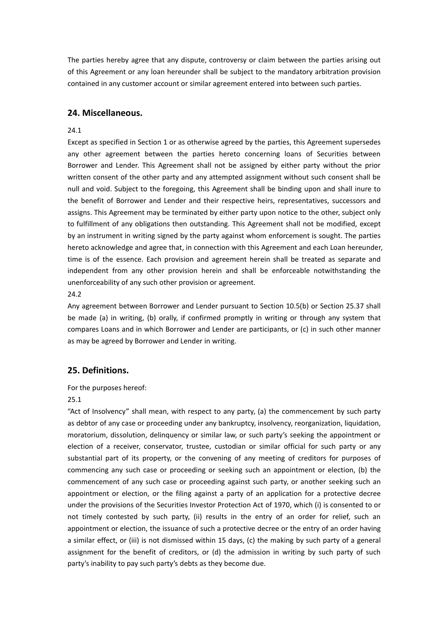The parties hereby agree that any dispute, controversy or claim between the parties arising out of this Agreement or any loan hereunder shall be subject to the mandatory arbitration provision contained in any customer account or similar agreement entered into between such parties.

# **24. Miscellaneous.**

## 24.1

Except as specified in Section 1 or as otherwise agreed by the parties, this Agreement supersedes any other agreement between the parties hereto concerning loans of Securities between Borrower and Lender. This Agreement shall not be assigned byeither party without the prior written consent of the other party and any attempted assignment without such consent shall be null and void. Subject to the foregoing, this Agreement shall be binding upon and shall inure to the benefit of Borrower and Lender and their respective heirs, representatives, successors and assigns. This Agreement may be terminated by either party upon notice to the other, subject only to fulfillment of any obligations then outstanding. This Agreement shall not be modified, except by an instrument in writing signed by the party against whom enforcement is sought. The parties hereto acknowledge and agree that, in connection with this Agreement and each Loan hereunder, time is of the essence. Each provision and agreement herein shall be treated as separate and independent from any other provision herein and shall be enforceable notwithstanding the unenforceability of any such other provision or agreement.

24.2

Any agreement between Borrower and Lender pursuant to Section 10.5(b) or Section 25.37 shall be made (a) in writing, (b) orally, if confirmed promptly in writing or through any system that compares Loans and in which Borrower and Lender are participants, or (c) in such other manner as may be agreed by Borrower and Lender in writing.

# **25. Definitions.**

For the purposes hereof:

## 25.1

"Act of Insolvency" shall mean, with respect to any party, (a) the commencement by such party as debtor of any case or proceeding under any bankruptcy, insolvency, reorganization, liquidation, moratorium, dissolution, delinquency or similar law,or such party's seeking the appointment or election of a receiver, conservator, trustee, custodian or similar official for such party or any substantial part of its property, or the convening of any meeting of creditors for purposes of commencing any such case or proceeding or seeking such an appointment or election, (b) the commencement of any such case or proceeding against such party, or another seeking such an appointment or election, or the filing against a party of an application for a protective decree under the provisions of the Securities Investor Protection Act of 1970, which (i) is consented to or not timely contested by such party, (ii) results in the entry of an order for relief, such an appointment or election, the issuance of such a protective decree or the entry of an order having a similar effect, or (iii) is not dismissed within 15 days, (c) the making by such party of a general assignment for the benefit of creditors, or (d) the admission in writing by such party of such party's inability to pay such party's debts as they become due.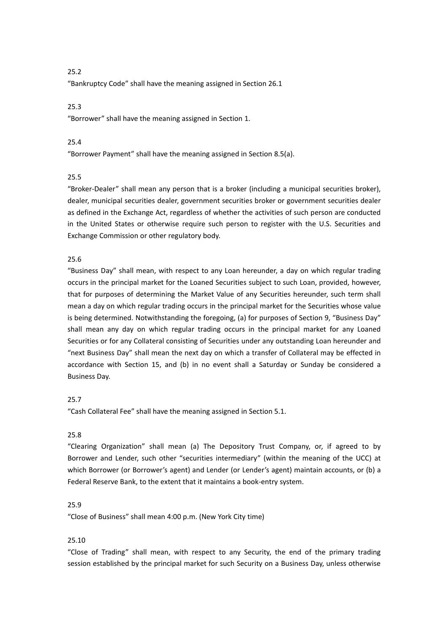"Bankruptcy Code" shall have the meaning assigned in Section 26.1

## 25.3

"Borrower" shall have the meaning assigned in Section 1.

## 25.4

"Borrower Payment" shall have the meaning assigned in Section 8.5(a).

## 25.5

"Broker-Dealer" shall mean any person that is a broker (including a municipal securities broker), dealer, municipal securities dealer, government securities broker or government securities dealer as defined in the Exchange Act, regardless of whether the activities of such person are conducted in the United States or otherwise require such person to register with the U.S. Securities and Exchange Commission or other regulatory body.

## 25.6

"Business Day" shall mean, with respect to any Loan hereunder, a day on which regular trading occurs in the principal market for the Loaned Securities subject to such Loan, provided, however, that for purposes of determining the Market Value of any Securities hereunder, such term shall mean a day on which regular trading occurs in the principal market for the Securities whose value is being determined. Notwithstanding the foregoing, (a) for purposes of Section 9, "Business Day" shall mean any day on which regular trading occurs in the principal market for any Loaned Securities or for any Collateral consisting of Securities under any outstanding Loan hereunder and "next Business Day" shall mean the next day on which a transfer of Collateral may be effected in accordance with Section 15, and (b) in no event shall a Saturday or Sunday be considered a Business Day.

# 25.7

"Cash Collateral Fee" shall have the meaning assigned in Section 5.1.

## 25.8

"Clearing Organization" shall mean (a) The Depository Trust Company, or, if agreed to by Borrower and Lender, such other "securities intermediary" (within the meaning of the UCC) at which Borrower (or Borrower's agent) and Lender (or Lender's agent) maintain accounts, or (b) a Federal Reserve Bank, to the extent that it maintains a book-entry system.

## 25.9

"Close of Business" shall mean 4:00 p.m. (New York City time)

## 25.10

"Close of Trading" shall mean, with respect to any Security, the end of the primary trading session established by the principal market for such Security on a Business Day, unless otherwise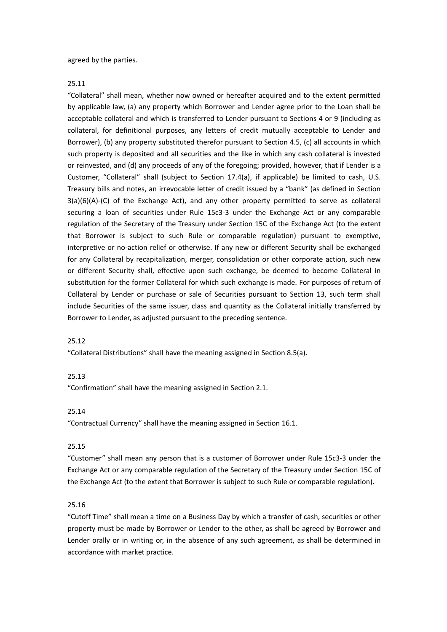agreed by the parties.

25.11

"Collateral" shall mean, whether now owned or hereafter acquired and to the extent permitted by applicable law, (a) any property which Borrower and Lender agree prior to the Loan shall be acceptable collateral and which is transferred to Lender pursuant to Sections 4 or 9 (including as collateral, for definitional purposes, any letters of credit mutually acceptable to Lender and Borrower), (b) any property substituted therefor pursuant to Section 4.5, (c) all accounts in which such property is deposited and all securities and the like in which any cash collateral is invested or reinvested, and (d) any proceeds of any of the foregoing; provided, however, that if Lender is a Customer, "Collateral" shall (subject to Section 17.4(a), if applicable) be limited to cash, U.S. Treasury bills and notes, an irrevocable letter of credit issued by a "bank" (as defined in Section 3(a)(6)(A)-(C) of the Exchange Act), and any other property permitted to serve as collateral securing a loan of securities under Rule 15c3-3 under the Exchange Act or any comparable regulation of the Secretary of the Treasury under Section 15C of the Exchange Act (to the extent that Borrower is subject to such Rule or comparable regulation) pursuant to exemptive, interpretive or no-action relief or otherwise. If any new or different Security shall be exchanged for any Collateral by recapitalization, merger, consolidation or other corporate action, such new or different Security shall, effective upon such exchange, be deemed to become Collateral in substitution for the former Collateral for which such exchange is made. For purposes of return of Collateral by Lender or purchase or sale of Securities pursuant to Section 13, such term shall include Securities of the same issuer, class and quantity as the Collateral initially transferred by Borrower to Lender, as adjusted pursuant to the preceding sentence.<br>25.12

"Collateral Distributions" shall have the meaning assigned in Section 8.5(a).

## 25.13

"Confirmation" shall have the meaning assigned in Section 2.1.

25.14

"Contractual Currency" shall have the meaning assigned in Section 16.1.

## 25.15

"Customer" shall mean any person that is a customer of Borrower under Rule 15c3-3 under the Exchange Act or any comparable regulation of the Secretary of the Treasury under Section 15C of the Exchange Act (to the extent that Borrower is subject to such Rule or comparable regulation).

#### 25.16

"Cutoff Time" shall mean a time on a Business Day by which a transfer of cash, securities or other property must be made by Borrower or Lender to the other, as shall be agreed by Borrower and Lender orally or in writing or, in the absence of any such agreement, as shall be determined in accordance with market practice.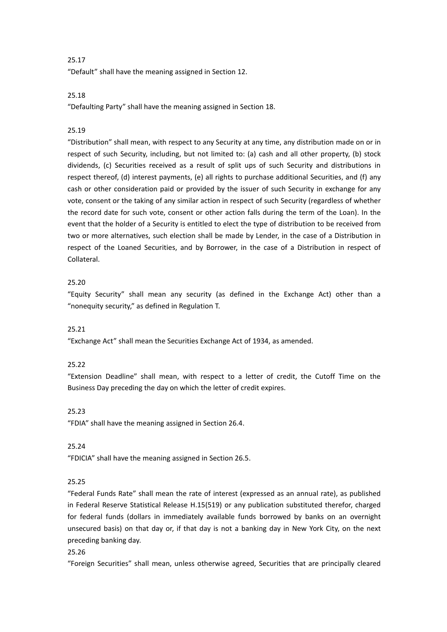"Default" shall have the meaning assigned in Section 12.

# 25.18

"Defaulting Party" shall have the meaning assigned in Section 18.

# 25.19

"Distribution" shall mean, with respect to any Security at any time, any distribution made on or in respect of such Security, including, but not limited to: (a) cash and all other property, (b) stock dividends, (c) Securities received as a result of split ups of such Security and distributions in respect thereof, (d) interest payments, (e) all rights to purchase additional Securities, and (f) any cash or other consideration paid or provided by the issuer of such Security in exchange for any vote, consent or the taking of any similar action in respect of such Security (regardless of whether the record date for such vote, consent or other action falls during the term of the Loan). In the event that the holder of a Security is entitled to elect the type of distribution to be received from two or more alternatives, such election shall be made by Lender, in the case of a Distribution in respect of the Loaned Securities, and by Borrower, in the case of a Distribution in respect of Collateral.

# 25.20

"Equity Security" shall mean any security (as defined in the Exchange Act) other than a "nonequity security," as defined in Regulation T.

## 25.21

"Exchange Act" shall mean the Securities Exchange Act of 1934, as amended.

## 25.22

"Extension Deadline" shall mean, with respect to a letter of credit, the Cutoff Time on the Business Day preceding the day on which the letter of credit expires.

## 25.23

"FDIA" shall have the meaning assigned in Section 26.4.

# 25.24

"FDICIA" shall have the meaning assigned in Section 26.5.

# 25.25

"Federal Funds Rate" shall mean the rate of interest (expressed as an annualrate), as published in Federal Reserve Statistical Release H.15(519) or any publication substituted therefor, charged for federal funds (dollars in immediately available funds borrowed by banks on an overnight unsecured basis) on that day or, if that day is not a banking day in New York City, on the next preceding banking day.

#### 25.26

"Foreign Securities" shall mean, unless otherwise agreed, Securities that are principally cleared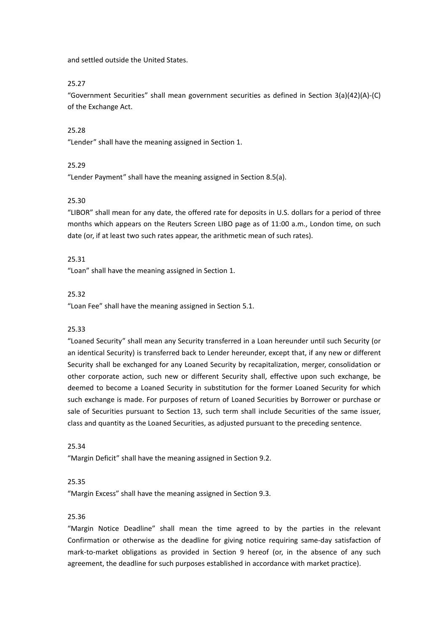and settled outside the United States.

## 25.27

"Government Securities" shall mean government securities as defined in Section 3(a)(42)(A)-(C) of the Exchange Act.

## 25.28

"Lender" shall have the meaning assigned in Section 1.<br>25.29

"Lender Payment" shall have the meaning assigned in Section 8.5(a).

## 25.30

"LIBOR" shall mean for any date, the offered rate for deposits in U.S. dollars for a period of three months which appears on the Reuters Screen LIBO page as of 11:00 a.m., London time, on such date (or, if at least two such rates appear, the arithmetic mean of such rates).

## 25.31

"Loan" shall have the meaning assigned in Section 1.<br>25.32

"Loan Fee" shall have the meaning assigned in Section 5.1.

## 25.33

"Loaned Security" shall mean any Security transferred in a Loan hereunder until such Security (or an identical Security) is transferred back to Lender hereunder, except that, if any new or different Security shall be exchanged for any Loaned Security by recapitalization, merger, consolidation or other corporate action, such new or different Security shall, effective upon such exchange, be deemed to become a Loaned Security in substitution for the former Loaned Security for which such exchange is made. For purposes of return of Loaned Securities by Borrower or purchase or sale of Securities pursuant to Section 13, such term shall include Securities of the same issuer, class and quantity as the Loaned Securities, as adjusted pursuant to the preceding sentence.<br>25.34

"Margin Deficit" shall have the meaning assigned in Section 9.2.

#### 25.35

"Margin Excess" shall have the meaning assigned in Section 9.3.

### 25.36

"Margin Notice Deadline" shall mean the time agreed to by the parties in the relevant Confirmation or otherwise as the deadline for giving notice requiring same-day satisfaction of mark-to-market obligations as provided in Section 9 hereof(or, in the absence of any such agreement, the deadline for such purposes established in accordance with market practice).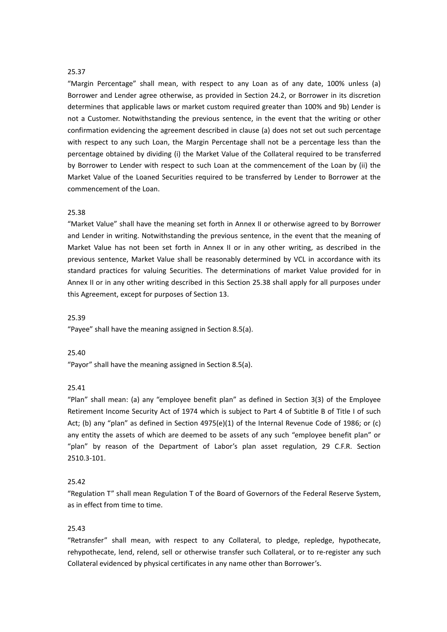"Margin Percentage" shall mean, with respect to any Loan as of any date, 100% unless (a) Borrower and Lender agree otherwise, as provided in Section 24.2, or Borrower in its discretion determines that applicable laws or market custom required greater than 100% and 9b) Lender is not a Customer. Notwithstanding the previous sentence, in the event that the writing or other confirmation evidencing the agreement described in clause (a) does not set out such percentage with respect to any such Loan, the Margin Percentage shall not be a percentage less than the percentage obtained by dividing (i) the Market Value of the Collateral required to be transferred by Borrower to Lender with respect to such Loan at the commencement of the Loan by (ii) the Market Value of the Loaned Securities required to be transferred by Lender to Borrower at the commencement of the Loan.

#### 25.38

"Market Value" shall have the meaning set forth in Annex II or otherwise agreed to by Borrower and Lender in writing. Notwithstanding the previous sentence, in the event that the meaning of Market Value has not been set forth in Annex II or in any other writing, as described in the previous sentence, Market Value shall be reasonably determined byVCL in accordance with its standard practices for valuing Securities. The determinations of market Value provided for in Annex II or in any other writing described in this Section 25.38 shall apply for all purposes under this Agreement, except for purposes of Section 13.

#### 25.39

"Payee" shall have the meaning assigned in Section 8.5(a).

#### 25.40

"Payor" shall have the meaning assigned in Section 8.5(a).

#### 25.41

"Plan" shall mean: (a) any "employee benefit plan" as defined in Section 3(3) of the Employee Retirement Income Security Act of 1974 which is subject to Part 4 of Subtitle B of Title I of such Act; (b) any "plan" as defined in Section 4975(e)(1) of the Internal Revenue Code of 1986; or (c) any entity the assets of which are deemed to be assets of any such "employee benefit plan" or "plan" by reason of the Department of Labor's plan asset regulation, 29 C.F.R. Section 2510.3-101.

# 25.42

"Regulation T" shall mean Regulation Tof the Board of Governors of the Federal Reserve System, as in effect from time to time.

## 25.43

"Retransfer" shall mean, with respect to any Collateral, to pledge, repledge, hypothecate, rehypothecate, lend, relend, sell or otherwise transfer such Collateral, or to re-register any such Collateral evidenced by physical certificates in any name other than Borrower's.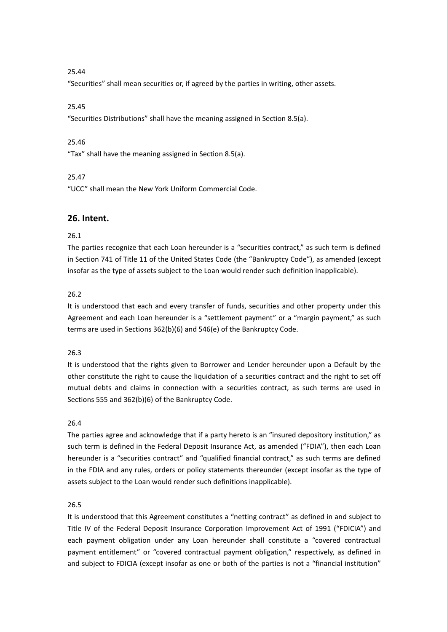"Securities" shall mean securities or, if agreed by the parties in writing, other assets.

# 25.45

"Securities Distributions" shall have the meaning assigned in Section 8.5(a).

## 25.46

"Tax" shall have the meaning assigned in Section 8.5(a).

## 25.47

"UCC" shall mean the New York Uniform Commercial Code.

# **26. Intent.**

## 26.1

The parties recognize that each Loan hereunder is a "securities contract," as such term is defined in Section 741 of Title 11 of the United States Code (the "Bankruptcy Code"), as amended (except insofar as the type of assets subject to the Loan would render such definition inapplicable).

# 26.2

It is understood that each and every transfer of funds, securities and other property under this Agreement and each Loan hereunder is a "settlement payment" or a "margin payment," as such terms are used in Sections 362(b)(6) and 546(e) of the Bankruptcy Code.

## 26.3

It is understood that the rights given to Borrower and Lender hereunder upon a Default by the other constitute the right to cause the liquidation of a securities contract and the right to set off mutual debts and claims in connection with a securities contract, as such terms are used in Sections 555 and 362(b)(6) of the Bankruptcy Code.

## 26.4

The parties agree and acknowledge that if a party hereto is an "insured depository institution," as such term is defined in the Federal Deposit Insurance Act, as amended ("FDIA"), then each Loan hereunder is a "securities contract" and "qualified financial contract," as such terms are defined in the FDIA and any rules, orders or policy statements thereunder (except insofar as the type of assets subject to the Loan would render such definitions inapplicable).

## 26.5

It is understood that this Agreement constitutes a "netting contract" as defined in and subject to Title IV of the Federal Deposit Insurance Corporation Improvement Act of 1991 ("FDICIA") and each payment obligation under any Loan hereunder shall constitute a "covered contractual payment entitlement" or "covered contractual payment obligation," respectively, as defined in and subject to FDICIA (except insofar as one or both of the parties is not a "financial institution"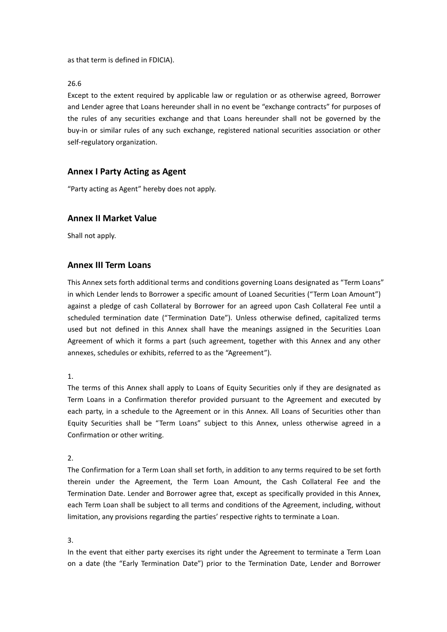as that term is defined in FDICIA).

26.6

Except to the extent required by applicable law or regulation or as otherwise agreed, Borrower and Lender agree that Loans hereunder shall in no event be "exchange contracts" for purposes of the rules of any securities exchange and that Loans hereunder shall not be governed by the buy-in or similar rules of any such exchange, registered national securities association or other self-regulatory organization.

# **Annex I Party Acting as Agent**

"Party acting as Agent" hereby does not apply.

# **Annex II Market Value**

Shall not apply.

# **Annex III Term Loans**

This Annex sets forth additional terms and conditions governing Loans designated as "Term Loans" in which Lender lends to Borrower a specific amount of Loaned Securities ("Term Loan Amount") against a pledge of cash Collateral by Borrower for an agreed upon Cash Collateral Fee until a scheduled termination date ("Termination Date"). Unless otherwise defined, capitalized terms used but not defined in this Annex shall have the meanings assigned in the Securities Loan Agreement of which it forms a part (such agreement, together with this Annex and any other annexes, schedules or exhibits, referred to as the "Agreement").

1.

The terms of this Annex shall apply to Loans of Equity Securities only if they are designated as Term Loans in a Confirmation therefor provided pursuant to the Agreement and executed by each party, in a schedule to the Agreement or in this Annex. All Loans of Securities other than Equity Securities shall be "Term Loans" subject to this Annex, unless otherwise agreed in a Confirmation or other writing.

2.

The Confirmation for a Term Loan shall set forth, in addition to any terms required to be set forth therein under the Agreement, the Term Loan Amount, the Cash Collateral Fee and the Termination Date. Lender and Borrower agree that, except as specifically provided in this Annex, each Term Loan shall be subject to all terms and conditions of the Agreement, including, without limitation, any provisions regarding the parties' respective rights to terminate a Loan.

3.

In the event that either party exercises its right under the Agreement to terminate a Term Loan on adate (the "Early Termination Date") prior to the Termination Date, Lender and Borrower